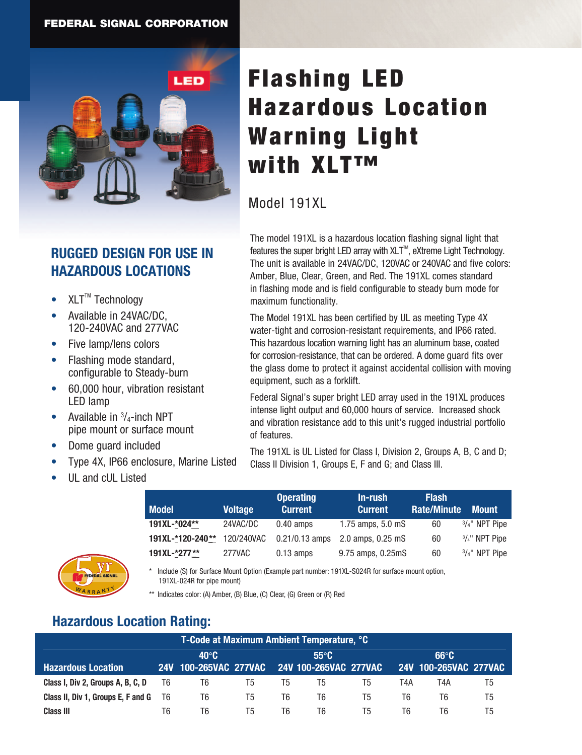

## **RUGGED DESIGN FOR USE IN HAZARDOUS LOCATIONS**

- $\bullet$  XLT<sup>™</sup> Technology
- Available in 24VAC/DC. 120-240VAC and 277VAC
- Five lamp/lens colors
- Flashing mode standard, configurable to Steady-burn
- 60,000 hour, vibration resistant LED lamp
- Available in  $\frac{3}{4}$ -inch NPT pipe mount or surface mount
- Dome guard included
- Type 4X, IP66 enclosure, Marine Listed
- UL and cUL Listed

WARRANT

**W <sup>A</sup> <sup>R</sup> <sup>R</sup>** $R A N T$ <sup>V</sup>

# Flashing LED Hazardous Location Warning Light with XLT™

### Model 191XL

The model 191XL is a hazardous location flashing signal light that features the super bright LED array with  $XLT^M$ , eXtreme Light Technology. The unit is available in 24VAC/DC, 120VAC or 240VAC and five colors: Amber, Blue, Clear, Green, and Red. The 191XL comes standard in flashing mode and is field configurable to steady burn mode for maximum functionality.

The Model 191XL has been certified by UL as meeting Type 4X water-tight and corrosion-resistant requirements, and IP66 rated. This hazardous location warning light has an aluminum base, coated for corrosion-resistance, that can be ordered. A dome guard fits over the glass dome to protect it against accidental collision with moving equipment, such as a forklift.

Federal Signal's super bright LED array used in the 191XL produces intense light output and 60,000 hours of service. Increased shock and vibration resistance add to this unit's rugged industrial portfolio of features.

The 191XL is UL Listed for Class I, Division 2, Groups A, B, C and D; Class II Division 1, Groups E, F and G; and Class III.

| <b>Model</b>     | <b>Voltage</b> | <b>Operating</b><br><b>Current</b> | In-rush<br><b>Current</b> | <b>Flash</b><br><b>Rate/Minute</b> | <b>Mount</b>             |
|------------------|----------------|------------------------------------|---------------------------|------------------------------------|--------------------------|
| 191XL-*024**     | 24VAC/DC       | $0.40$ amps                        | 1.75 amps, 5.0 mS         | 60                                 | $3/4$ " NPT Pipe         |
| 191XL-*120-240** | 120/240VAC     | $0.21/0.13$ amps                   | 2.0 amps, 0.25 mS         | 60                                 | $\frac{3}{4}$ " NPT Pipe |
| 191XL-*277**     | 277VAC         | $0.13$ amps                        | 9.75 amps, 0.25mS         | 60                                 | $3/4$ " NPT Pipe         |

Include (S) for Surface Mount Option (Example part number: 191XL-S024R for surface mount option, 191XL-024R for pipe mount)

\*\* Indicates color: (A) Amber, (B) Blue, (C) Clear, (G) Green or (R) Red

## **Hazardous Location Rating:**

| T-Code at Maximum Ambient Temperature, °C |              |                                             |    |                |    |    |                |                       |    |
|-------------------------------------------|--------------|---------------------------------------------|----|----------------|----|----|----------------|-----------------------|----|
|                                           | $40^\circ$ C |                                             |    | $55^{\circ}$ C |    |    | $66^{\circ}$ C |                       |    |
| <b>Hazardous Location</b>                 |              | 24V 100-265VAC 277VAC 24V 100-265VAC 277VAC |    |                |    |    |                | 24V 100-265VAC 277VAC |    |
| Class I, Div 2, Groups A, B, C, D         | T6           | T6                                          | Τ5 | T5             | Τ5 | T5 | T4A            | T4A                   | Τ5 |
| Class II, Div 1, Groups E, F and G        | T6           | T6                                          | Τ5 | T6             | T6 | T5 | T6             | Т6                    | T5 |
| <b>Class III</b>                          | Т6           | T6                                          | 15 | T6             | T6 | T5 | T6             | T6                    | Τ5 |